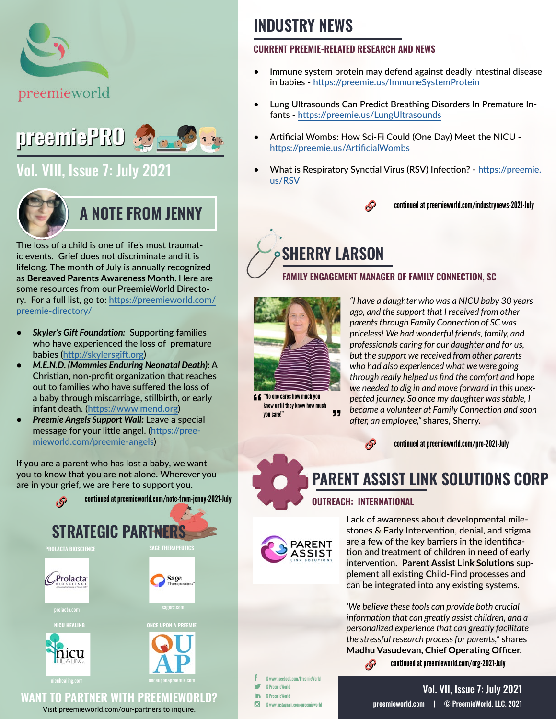



### [Vol. VIII, Issue 7: July 2021](https://preemieworld.com/preemie-pro-digital-issues/)



### **A NOTE FROM JENNY**

The loss of a child is one of life's most traumatic events. Grief does not discriminate and it is lifelong. The month of July is annually recognized as **Bereaved Parents Awareness Month.** Here are some resources from our PreemieWorld Directory. For a full list, go to: [https://preemieworld.com/](https://preemieworld.com/preemie-directory/ ) [preemie-directory/](https://preemieworld.com/preemie-directory/ )

- *• Skyler's Gift Foundation:* Supporting families who have experienced the loss of premature babies (<http://skylersgift.org>)
- *• M.E.N.D. (Mommies Enduring Neonatal Death):* A Christian, non-profit organization that reaches out to families who have suffered the loss of a baby through miscarriage, stillbirth, or early infant death. ([https://www.mend.org\)](https://www.mend.org)
- *• Preemie Angels Support Wall:* Leave a special message for your little angel. [\(https://pree](https://preemieworld.com/preemie-angels)[mieworld.com/preemie-angels](https://preemieworld.com/preemie-angels))

If you are a parent who has lost a baby, we want you to know that you are not alone. Wherever you are in your grief, we are here to support you.



Visit [preemieworld.com/our-partners](https://preemieworld.com/our-partners) to inquire.

## **INDUSTRY NEWS**

#### **CURRENT PREEMIE-RELATED RESEARCH AND NEWS**

- Immune system protein may defend against deadly intestinal disease in babies - <https://preemie.us/ImmuneSystemProtein>
- Lung Ultrasounds Can Predict Breathing Disorders In Premature Infants - <https://preemie.us/LungUltrasounds>
- Artificial Wombs: How Sci-Fi Could (One Day) Meet the NICU [https://preemie.us/ArtificialWombs](https://preemie.us/ArtificialWombs )
- What is Respiratory Synctial Virus (RSV) Infection? [https://preemie.](https://preemie.us/RSV) [us/RSV](https://preemie.us/RSV)



continued at [preemieworld.com/industrynews-2021-](http://preemieworld.com/industrynews-2021-July)July

# **SHERRY LARSON**

### **FAMILY ENGAGEMENT MANAGER OF FAMILY CONNECTION, SC**



 $\boldsymbol{\epsilon}$  "No one cares how much you know until they know how much 99 you care!"

*"I have a daughter who was a NICU baby 30 years ago, and the support that I received from other parents through Family Connection of SC was priceless! We had wonderful friends, family, and professionals caring for our daughter and for us, but the support we received from other parents who had also experienced what we were going through really helped us find the comfort and hope we needed to dig in and move forward in this unexpected journey. So once my daughter was stable, I became a volunteer at Family Connection and soon after, an employee,"* shares, Sherry.



continued at [preemieworld.com/pro-2021-](http://preemieworld.com/pro-2021-July)July

### **PARENT ASSIST LINK SOLUTIONS CORP**

### **OUTREACH: INTERNATIONAL**

 $\mathcal{S}$ 



Lack of awareness about developmental milestones & Early Intervention, denial, and stigma are a few of the key barriers in the identification and treatment of children in need of early intervention. **Parent Assist Link Solutions** supplement all existing Child-Find processes and can be integrated into any existing systems.

*'We believe these tools can provide both crucial information that can greatly assist children, and a personalized experience that can greatly facilitate the stressful research process for parents,"* shares **Madhu Vasudevan, Chief Operating Officer.**

continued at [preemieworld.com/org-2021-J](http://preemieworld.com/org-2021-July)uly

@ www.facebook.com/PreemieWorld @ PreemieWorld in @ PreemieWorld  $\overline{G}$ @ www.instagram.com/preemieworld